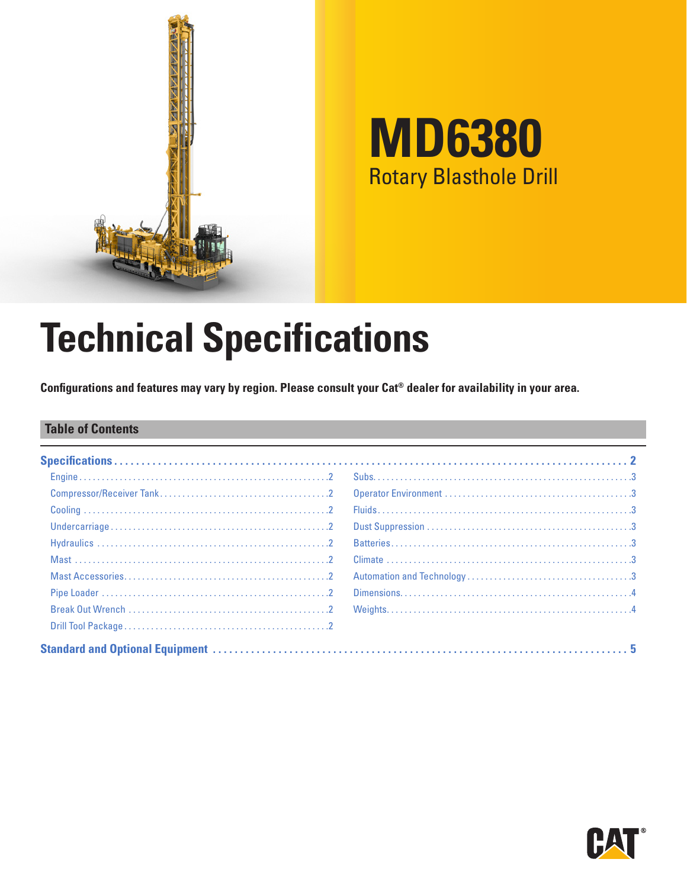

# **MD6380** Rotary Blasthole Drill

# **Technical Specifications**

**Configurations and features may vary by region. Please consult your Cat® dealer for availability in your area.**

### **Table of Contents**

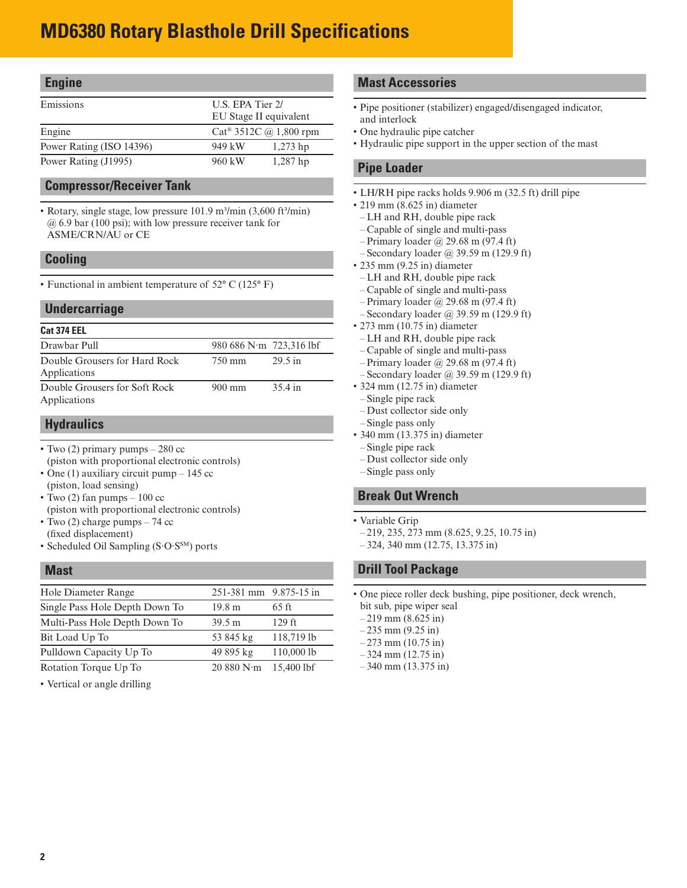# <span id="page-1-0"></span>**MD6380 Rotary Blasthole Drill Specifications**

### **Engine**

| Emissions                |        | U.S. EPA Tier 2/                               |  |  |
|--------------------------|--------|------------------------------------------------|--|--|
|                          |        | EU Stage II equivalent                         |  |  |
| Engine                   |        | $Cat^{\circledR}$ 3512C ( <i>a</i> ) 1,800 rpm |  |  |
| Power Rating (ISO 14396) | 949 kW | $1,273$ hp                                     |  |  |
| Power Rating (J1995)     | 960 kW | $1,287$ hp                                     |  |  |

### **Compressor/Receiver Tank**

• Rotary, single stage, low pressure 101.9 m<sup>3</sup>/min (3,600 ft<sup>3</sup>/min) @ 6.9 bar (100 psi); with low pressure receiver tank for ASME/CRN/AU or CE

### **Cooling**

• Functional in ambient temperature of 52° C (125° F)

### **Undercarriage**

### **Cat 374 EEL**

| Drawbar Pull                                  | 980 686 N·m 723,316 lbf |                   |
|-----------------------------------------------|-------------------------|-------------------|
|                                               |                         |                   |
| Double Grousers for Hard Rock                 | 750 mm                  | $29.5 \text{ in}$ |
| Applications                                  |                         |                   |
| Double Grousers for Soft Rock<br>Applications | $900 \text{ mm}$        | 35.4 in           |

### **Hydraulics**

- Two (2) primary pumps 280 cc (piston with proportional electronic controls)
- One (1) auxiliary circuit pump 145 cc
- (piston, load sensing)
- Two  $(2)$  fan pumps 100 cc (piston with proportional electronic controls)
- Two (2) charge pumps 74 cc (fixed displacement)
- Scheduled Oil Sampling (S·O·S<sup>SM</sup>) ports

### **Mast**

| Hole Diameter Range            | 251-381 mm 9.875-15 in |            |
|--------------------------------|------------------------|------------|
| Single Pass Hole Depth Down To | 19.8 <sub>m</sub>      | 65 ft      |
| Multi-Pass Hole Depth Down To  | 39.5 m                 | $129$ ft   |
| Bit Load Up To                 | 53 845 kg              | 118,719 lb |
| Pulldown Capacity Up To        | 49 895 kg              | 110,0001b  |
| Rotation Torque Up To          | 20880 N·m              | 15,400 lbf |
|                                |                        |            |

• Vertical or angle drilling

### **Mast Accessories**

- Pipe positioner (stabilizer) engaged/disengaged indicator, and interlock
- One hydraulic pipe catcher
- Hydraulic pipe support in the upper section of the mast

### **Pipe Loader**

- LH/RH pipe racks holds 9.906 m (32.5 ft) drill pipe
- 219 mm (8.625 in) diameter
- LH and RH, double pipe rack
- Capable of single and multi-pass
- Primary loader @ 29.68 m (97.4 ft)
- Secondary loader @ 39.59 m (129.9 ft)
- 235 mm (9.25 in) diameter
- LH and RH, double pipe rack
- Capable of single and multi-pass
- Primary loader @ 29.68 m (97.4 ft)
- Secondary loader @ 39.59 m (129.9 ft)
- 273 mm (10.75 in) diameter
- LH and RH, double pipe rack
- Capable of single and multi-pass
- Primary loader @ 29.68 m (97.4 ft)
- Secondary loader @ 39.59 m (129.9 ft)
- 324 mm (12.75 in) diameter
- Single pipe rack
- Dust collector side only
- Single pass only
- 340 mm (13.375 in) diameter
- Single pipe rack
- Dust collector side only
- Single pass only

### **Break Out Wrench**

- Variable Grip
- 219, 235, 273 mm (8.625, 9.25, 10.75 in)
- 324, 340 mm (12.75, 13.375 in)

### **Drill Tool Package**

• One piece roller deck bushing, pipe positioner, deck wrench, bit sub, pipe wiper seal

 $-219$  mm  $(8.625)$  in

- $-235$  mm  $(9.25$  in)
- $-273$  mm (10.75 in)
- $-324$  mm (12.75 in)
- 340 mm (13.375 in)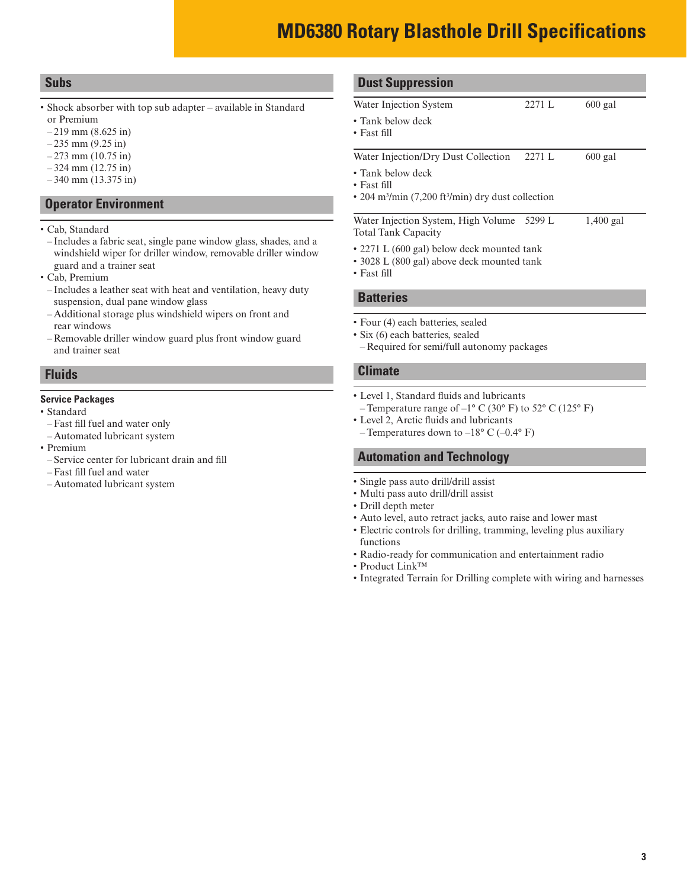## **MD6380 Rotary Blasthole Drill Specifications**

### <span id="page-2-0"></span>**Subs**

- Shock absorber with top sub adapter available in Standard or Premium
- $-219$  mm (8.625 in)
- $-235$  mm (9.25 in)
- $-273$  mm (10.75 in)
- 324 mm (12.75 in)
- $-340$  mm (13.375 in)

### **Operator Environment**

- Cab, Standard
- Includes a fabric seat, single pane window glass, shades, and a windshield wiper for driller window, removable driller window guard and a trainer seat
- Cab, Premium
- Includes a leather seat with heat and ventilation, heavy duty suspension, dual pane window glass
- Additional storage plus windshield wipers on front and rear windows
- Removable driller window guard plus front window guard and trainer seat

### **Fluids**

#### **Service Packages**

- Standard
- Fast fill fuel and water only
- Automated lubricant system
- Premium
- Service center for lubricant drain and fill
- Fast fill fuel and water
- Automated lubricant system

### **Dust Suppression**

- Water Injection System 2271 L 600 gal • Tank below deck • Fast fill Water Injection/Dry Dust Collection 2271 L 600 gal • Tank below deck • Fast fill • 204 m3/min (7,200 ft3/min) dry dust collection Water Injection System, High Volume 5299 L Total Tank Capacity 1,400 gal • 2271 L (600 gal) below deck mounted tank
	- 3028 L (800 gal) above deck mounted tank
	- Fast fill

#### **Batteries**

- Four (4) each batteries, sealed
- Six (6) each batteries, sealed
- Required for semi/full autonomy packages

#### **Climate**

- Level 1, Standard fluids and lubricants – Temperature range of  $-1^{\circ}$  C (30° F) to 52° C (125° F)
- Level 2, Arctic fluids and lubricants
	- Temperatures down to  $-18^{\circ}$  C ( $-0.4^{\circ}$  F)

### **Automation and Technology**

- Single pass auto drill/drill assist
- Multi pass auto drill/drill assist
- Drill depth meter
- Auto level, auto retract jacks, auto raise and lower mast
- Electric controls for drilling, tramming, leveling plus auxiliary functions
- Radio-ready for communication and entertainment radio
- Product Link™
- Integrated Terrain for Drilling complete with wiring and harnesses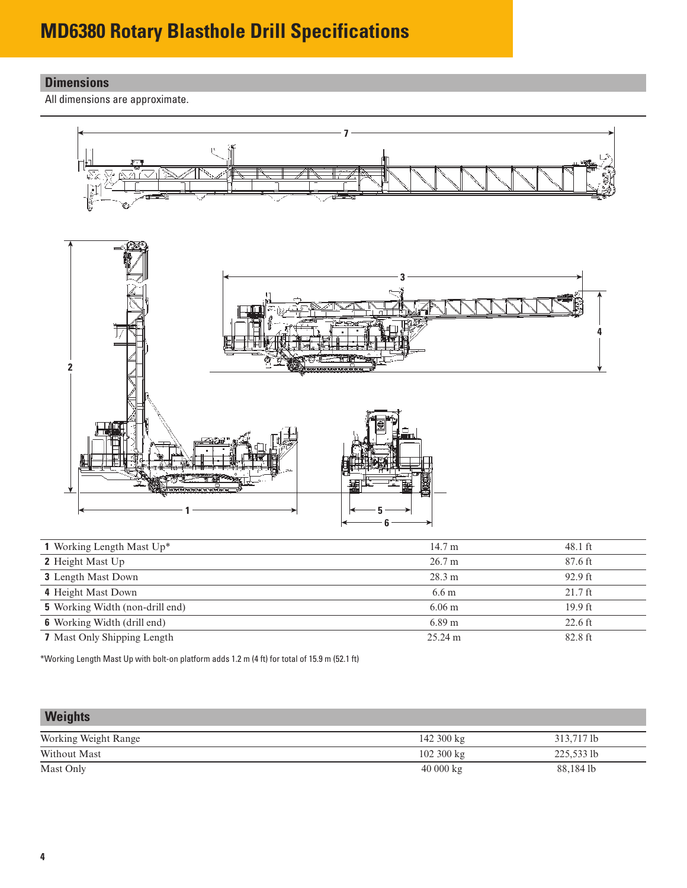# <span id="page-3-0"></span>**MD6380 Rotary Blasthole Drill Specifications**

### **Dimensions**

All dimensions are approximate.



| 1 Working Length Mast Up*              | 14.7 m            | 48.1 ft           |
|----------------------------------------|-------------------|-------------------|
| <b>2</b> Height Mast Up                | 26.7 m            | 87.6 ft           |
| <b>3</b> Length Mast Down              | 28.3 m            | $92.9$ ft         |
| 4 Height Mast Down                     | 6.6 <sub>m</sub>  | $21.7$ ft         |
| <b>5</b> Working Width (non-drill end) | $6.06 \text{ m}$  | $19.9$ ft         |
| <b>6</b> Working Width (drill end)     | $6.89 \text{ m}$  | $22.6 \text{ ft}$ |
| <b>7</b> Mast Only Shipping Length     | $25.24 \text{ m}$ | 82.8 ft           |
|                                        |                   |                   |

\*Working Length Mast Up with bolt-on platform adds 1.2 m (4 ft) for total of 15.9 m (52.1 ft)

| <b>Weights</b>       |                     |            |
|----------------------|---------------------|------------|
| Working Weight Range | 142 300 kg          | 313,717 lb |
| Without Mast         | $102300 \text{ kg}$ | 225,533 lb |
| Mast Only            | 40000 kg            | 88,184 lb  |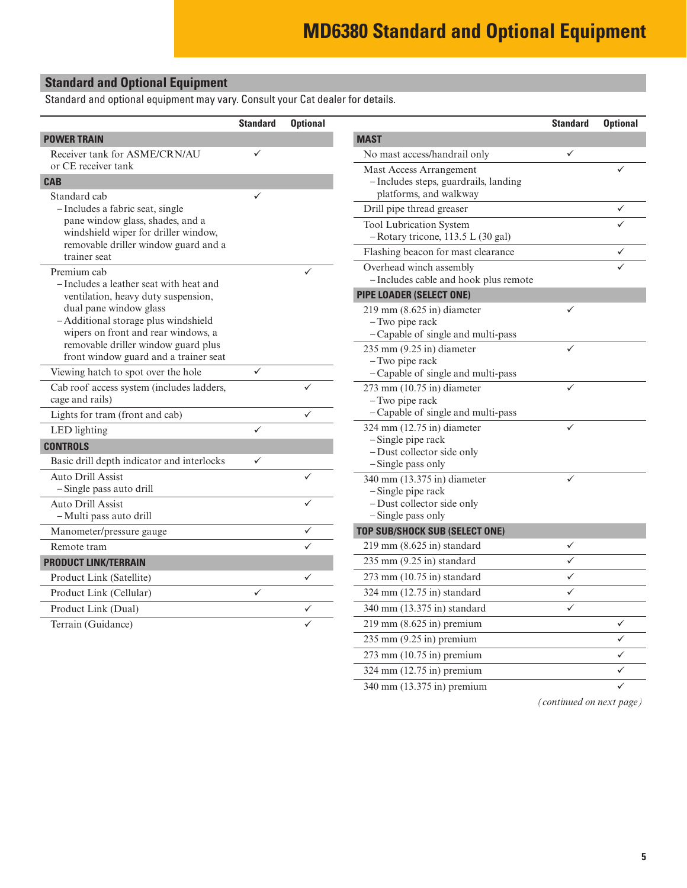### <span id="page-4-0"></span>**Standard and Optional Equipment**

Standard and optional equipment may vary. Consult your Cat dealer for details.

|                                                                                                       | <b>Standard</b> | <b>Optional</b> |                                                                                      | <b>Standard</b> | <b>Optional</b> |
|-------------------------------------------------------------------------------------------------------|-----------------|-----------------|--------------------------------------------------------------------------------------|-----------------|-----------------|
| <b>POWER TRAIN</b>                                                                                    |                 |                 | <b>MAST</b>                                                                          |                 |                 |
| Receiver tank for ASME/CRN/AU                                                                         | ✓               |                 | No mast access/handrail only                                                         | $\checkmark$    |                 |
| or CE receiver tank<br><b>CAB</b>                                                                     |                 |                 | Mast Access Arrangement<br>- Includes steps, guardrails, landing                     |                 |                 |
| Standard cab                                                                                          | ✓               |                 | platforms, and walkway                                                               |                 |                 |
| - Includes a fabric seat, single                                                                      |                 |                 | Drill pipe thread greaser                                                            |                 | ✓               |
| pane window glass, shades, and a<br>windshield wiper for driller window,                              |                 |                 | <b>Tool Lubrication System</b><br>-Rotary tricone, 113.5 L (30 gal)                  |                 |                 |
| removable driller window guard and a<br>trainer seat                                                  |                 |                 | Flashing beacon for mast clearance                                                   |                 | ✓               |
| Premium cab<br>- Includes a leather seat with heat and                                                |                 | ✓               | Overhead winch assembly<br>- Includes cable and hook plus remote                     |                 | ✓               |
| ventilation, heavy duty suspension,                                                                   |                 |                 | <b>PIPE LOADER (SELECT ONE)</b>                                                      |                 |                 |
| dual pane window glass<br>- Additional storage plus windshield<br>wipers on front and rear windows, a |                 |                 | $219$ mm (8.625 in) diameter<br>- Two pipe rack<br>-Capable of single and multi-pass | $\checkmark$    |                 |
| removable driller window guard plus<br>front window guard and a trainer seat                          |                 |                 | 235 mm (9.25 in) diameter<br>- Two pipe rack                                         | $\checkmark$    |                 |
| Viewing hatch to spot over the hole                                                                   | $\checkmark$    |                 | -Capable of single and multi-pass                                                    |                 |                 |
| Cab roof access system (includes ladders,<br>cage and rails)                                          |                 |                 | $273$ mm $(10.75$ in) diameter<br>- Two pipe rack                                    | $\checkmark$    |                 |
| Lights for tram (front and cab)                                                                       |                 | ✓               | - Capable of single and multi-pass                                                   |                 |                 |
| LED lighting                                                                                          | $\checkmark$    |                 | 324 mm $(12.75$ in) diameter                                                         | ✓               |                 |
| <b>CONTROLS</b>                                                                                       |                 |                 | -Single pipe rack<br>- Dust collector side only                                      |                 |                 |
| Basic drill depth indicator and interlocks                                                            | ✓               |                 | -Single pass only                                                                    |                 |                 |
| <b>Auto Drill Assist</b><br>-Single pass auto drill                                                   |                 |                 | 340 mm (13.375 in) diameter<br>-Single pipe rack                                     | $\checkmark$    |                 |
| Auto Drill Assist<br>- Multi pass auto drill                                                          |                 | ✓               | - Dust collector side only<br>-Single pass only                                      |                 |                 |
| Manometer/pressure gauge                                                                              |                 | ✓               | <b>TOP SUB/SHOCK SUB (SELECT ONE)</b>                                                |                 |                 |
| Remote tram                                                                                           |                 | ✓               | $219$ mm (8.625 in) standard                                                         | $\checkmark$    |                 |
| <b>PRODUCT LINK/TERRAIN</b>                                                                           |                 |                 | $235$ mm $(9.25$ in) standard                                                        | $\checkmark$    |                 |
| Product Link (Satellite)                                                                              |                 | ✓               | $273$ mm (10.75 in) standard                                                         | $\checkmark$    |                 |
| Product Link (Cellular)                                                                               | $\checkmark$    |                 | 324 mm (12.75 in) standard                                                           | $\checkmark$    |                 |
| Product Link (Dual)                                                                                   |                 | $\checkmark$    | 340 mm (13.375 in) standard                                                          | $\checkmark$    |                 |
| Terrain (Guidance)                                                                                    |                 |                 | $219$ mm $(8.625$ in) premium                                                        |                 | ✓               |
|                                                                                                       |                 |                 | $235$ mm $(9.25$ in) premium                                                         |                 | $\checkmark$    |
|                                                                                                       |                 |                 | $273$ mm $(10.75$ in) premium                                                        |                 | $\checkmark$    |

340 mm (13.375 in) premium

 $324 \text{ mm}$  (12.75 in) premium

*(continued on next page)*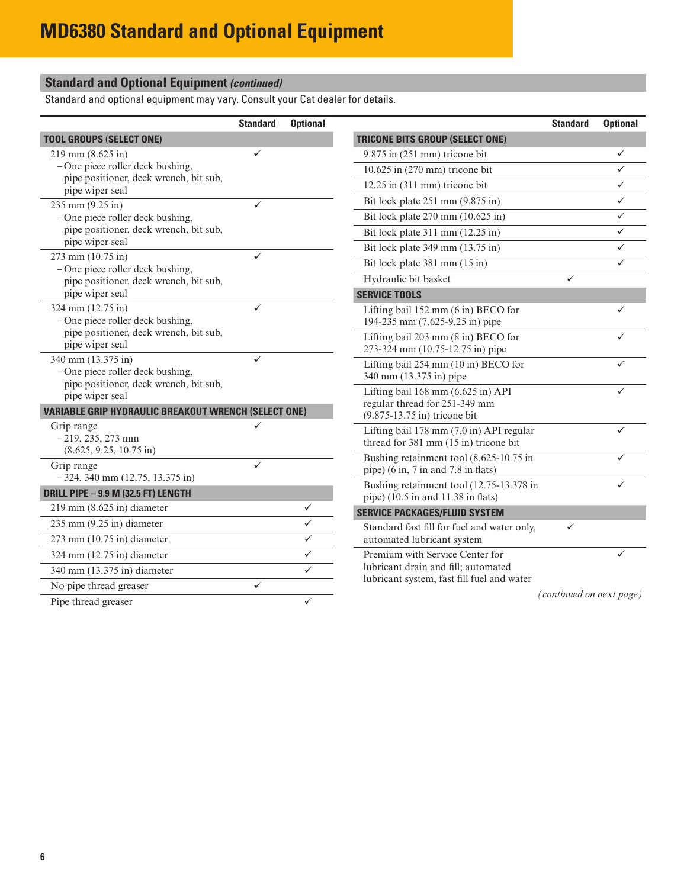## **Standard and Optional Equipment** *(continued)*

Standard and optional equipment may vary. Consult your Cat dealer for details.

|                                                                                                    | <b>Standard</b> | <b>Optional</b> |                                                                                                                  | <b>Standard</b>          | <b>Optional</b> |
|----------------------------------------------------------------------------------------------------|-----------------|-----------------|------------------------------------------------------------------------------------------------------------------|--------------------------|-----------------|
| <b>TOOL GROUPS (SELECT ONE)</b>                                                                    |                 |                 | <b>TRICONE BITS GROUP (SELECT ONE)</b>                                                                           |                          |                 |
| 219 mm (8.625 in)                                                                                  | $\checkmark$    |                 | $9.875$ in $(251$ mm) tricone bit                                                                                |                          | ✓               |
| - One piece roller deck bushing,<br>pipe positioner, deck wrench, bit sub,                         |                 |                 | 10.625 in (270 mm) tricone bit                                                                                   |                          | ✓               |
| pipe wiper seal                                                                                    |                 |                 | 12.25 in (311 mm) tricone bit                                                                                    |                          | ✓               |
| $235$ mm $(9.25$ in)                                                                               | $\checkmark$    |                 | Bit lock plate 251 mm (9.875 in)                                                                                 |                          | ✓               |
| $-$ One piece roller deck bushing,                                                                 |                 |                 | Bit lock plate 270 mm (10.625 in)                                                                                |                          | ✓               |
| pipe positioner, deck wrench, bit sub,                                                             |                 |                 | Bit lock plate 311 mm (12.25 in)                                                                                 |                          | ✓               |
| pipe wiper seal                                                                                    |                 |                 | Bit lock plate 349 mm (13.75 in)                                                                                 |                          | ✓               |
| 273 mm (10.75 in)<br>- One piece roller deck bushing,                                              | $\checkmark$    |                 | Bit lock plate 381 mm (15 in)                                                                                    |                          | ✓               |
| pipe positioner, deck wrench, bit sub,                                                             |                 |                 | Hydraulic bit basket                                                                                             | ✓                        |                 |
| pipe wiper seal                                                                                    |                 |                 | <b>SERVICE TOOLS</b>                                                                                             |                          |                 |
| 324 mm (12.75 in)<br>- One piece roller deck bushing,                                              | $\checkmark$    |                 | Lifting bail 152 mm (6 in) BECO for<br>194-235 mm (7.625-9.25 in) pipe                                           |                          | ✓               |
| pipe positioner, deck wrench, bit sub,<br>pipe wiper seal                                          |                 |                 | Lifting bail 203 mm (8 in) BECO for<br>273-324 mm (10.75-12.75 in) pipe                                          |                          | ✓               |
| 340 mm (13.375 in)<br>$-$ One piece roller deck bushing,<br>pipe positioner, deck wrench, bit sub, | $\checkmark$    |                 | Lifting bail 254 mm (10 in) BECO for<br>340 mm (13.375 in) pipe                                                  |                          | ✓               |
| pipe wiper seal                                                                                    |                 |                 | Lifting bail 168 mm (6.625 in) API                                                                               |                          | ✓               |
| <b>VARIABLE GRIP HYDRAULIC BREAKOUT WRENCH (SELECT ONE)</b>                                        |                 |                 | regular thread for 251-349 mm<br>(9.875-13.75 in) tricone bit                                                    |                          |                 |
| Grip range<br>$-219, 235, 273$ mm<br>$(8.625, 9.25, 10.75 \text{ in})$                             | ✓               |                 | Lifting bail 178 mm (7.0 in) API regular<br>thread for 381 mm (15 in) tricone bit                                |                          | ✓               |
| Grip range<br>$-324$ , 340 mm (12.75, 13.375 in)                                                   | $\checkmark$    |                 | Bushing retainment tool (8.625-10.75 in<br>pipe) $(6 \text{ in}, 7 \text{ in and } 7.8 \text{ in} \text{ flat})$ |                          | ✓               |
| <b>DRILL PIPE - 9.9 M (32.5 FT) LENGTH</b>                                                         |                 |                 | Bushing retainment tool (12.75-13.378 in                                                                         |                          | ✓               |
| $219$ mm $(8.625$ in) diameter                                                                     |                 | ✓               | pipe) $(10.5 \text{ in and } 11.38 \text{ in } \text{flats})$                                                    |                          |                 |
| $235$ mm $(9.25$ in) diameter                                                                      |                 | ✓               | <b>SERVICE PACKAGES/FLUID SYSTEM</b>                                                                             |                          |                 |
|                                                                                                    |                 |                 | Standard fast fill for fuel and water only,                                                                      | ✓                        |                 |
| $273$ mm $(10.75$ in) diameter                                                                     |                 | ✓               | automated lubricant system                                                                                       |                          |                 |
| 324 mm (12.75 in) diameter                                                                         |                 | ✓               | Premium with Service Center for                                                                                  |                          |                 |
| 340 mm (13.375 in) diameter                                                                        |                 |                 | lubricant drain and fill; automated<br>lubricant system, fast fill fuel and water                                |                          |                 |
| No pipe thread greaser                                                                             | $\checkmark$    |                 |                                                                                                                  | (continued on next page) |                 |
| Pipe thread greaser                                                                                |                 | ✓               |                                                                                                                  |                          |                 |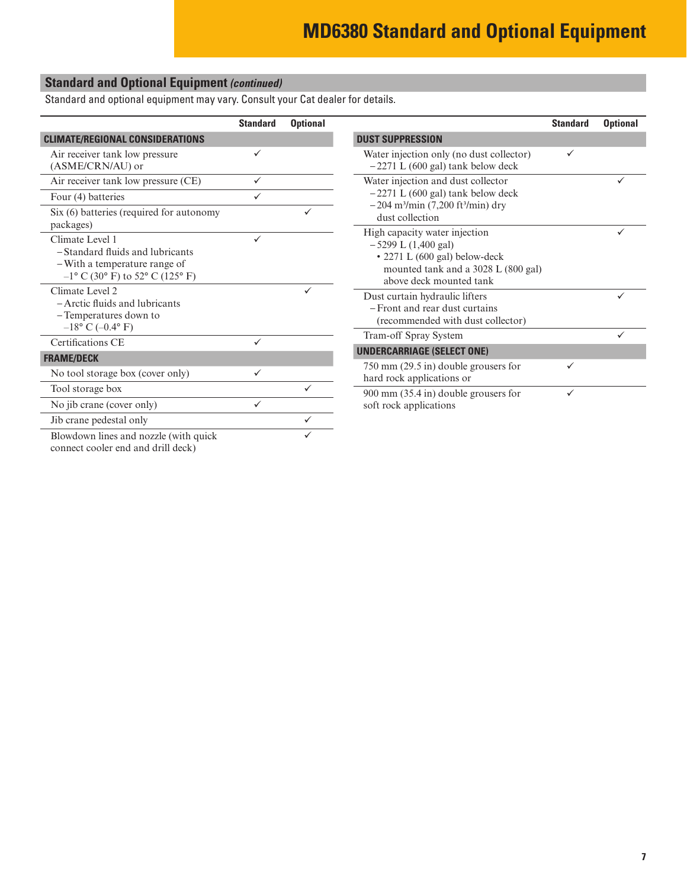## **Standard and Optional Equipment** *(continued)*

Standard and optional equipment may vary. Consult your Cat dealer for details.

|                                                                                                                            | <b>Standard</b> | <b>Optional</b> |                                                                                                                                                           | <b>Standard</b> | <b>Optional</b> |
|----------------------------------------------------------------------------------------------------------------------------|-----------------|-----------------|-----------------------------------------------------------------------------------------------------------------------------------------------------------|-----------------|-----------------|
| <b>CLIMATE/REGIONAL CONSIDERATIONS</b>                                                                                     |                 |                 | <b>DUST SUPPRESSION</b>                                                                                                                                   |                 |                 |
| Air receiver tank low pressure<br>(ASME/CRN/AU) or                                                                         | ✓               |                 | Water injection only (no dust collector)<br>$-2271$ L (600 gal) tank below deck                                                                           | ✓               |                 |
| Air receiver tank low pressure (CE)                                                                                        | $\checkmark$    |                 | Water injection and dust collector                                                                                                                        |                 |                 |
| Four (4) batteries                                                                                                         | $\checkmark$    |                 | $-2271$ L (600 gal) tank below deck                                                                                                                       |                 |                 |
| Six (6) batteries (required for autonomy<br>packages)                                                                      |                 |                 | $-204$ m <sup>3</sup> /min (7,200 ft <sup>3</sup> /min) dry<br>dust collection                                                                            |                 |                 |
| Climate Level 1<br>- Standard fluids and lubricants<br>- With a temperature range of<br>$-1$ ° C (30° F) to 52° C (125° F) | $\checkmark$    |                 | High capacity water injection<br>$-5299$ L (1,400 gal)<br>• 2271 L (600 gal) below-deck<br>mounted tank and a 3028 L (800 gal)<br>above deck mounted tank |                 |                 |
| Climate Level 2<br>- Arctic fluids and lubricants<br>-Temperatures down to<br>$-18^{\circ}$ C ( $-0.4^{\circ}$ F)          |                 |                 | Dust curtain hydraulic lifters<br>- Front and rear dust curtains<br>(recommended with dust collector)                                                     |                 | ✓               |
| Certifications CE                                                                                                          | $\checkmark$    |                 | Tram-off Spray System                                                                                                                                     |                 | ✓               |
| <b>FRAME/DECK</b>                                                                                                          |                 |                 | <b>UNDERCARRIAGE (SELECT ONE)</b>                                                                                                                         |                 |                 |
| No tool storage box (cover only)                                                                                           | ✓               |                 | $750$ mm $(29.5$ in) double grousers for<br>hard rock applications or                                                                                     | ✓               |                 |
| Tool storage box                                                                                                           |                 |                 | 900 mm (35.4 in) double grousers for                                                                                                                      | ✓               |                 |
| No jib crane (cover only)                                                                                                  | $\checkmark$    |                 | soft rock applications                                                                                                                                    |                 |                 |
| Jib crane pedestal only                                                                                                    |                 | $\checkmark$    |                                                                                                                                                           |                 |                 |
| Blowdown lines and nozzle (with quick                                                                                      |                 |                 |                                                                                                                                                           |                 |                 |

connect cooler end and drill deck)